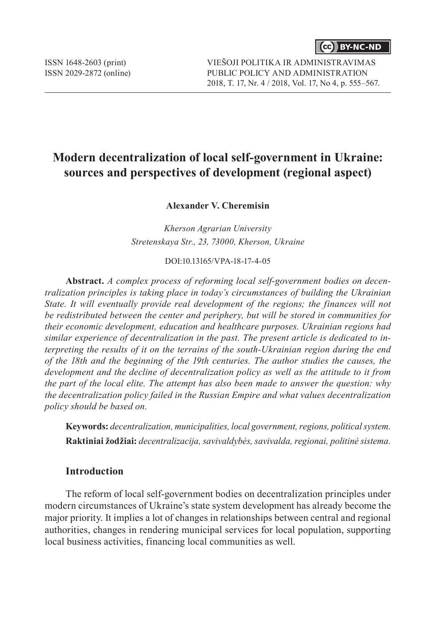# **Modern decentralization of local self-government in Ukraine: sources and perspectives of development (regional aspect)**

**Alexander V. Сheremisin**

*Kherson Agrarian University Stretenskaya Str., 23, 73000, Kherson, Ukraine*

DOI:10.13165/VPA-18-17-4-05

**Abstract.** *A complex process of reforming local self-government bodies on decentralization principles is taking place in today's circumstances of building the Ukrainian State. It will eventually provide real development of the regions; the finances will not be redistributed between the center and periphery, but will be stored in communities for their economic development, education and healthcare purposes. Ukrainian regions had similar experience of decentralization in the past. The present article is dedicated to interpreting the results of it on the terrains of the south-Ukrainian region during the end of the 18th and the beginning of the 19th centuries. The author studies the causes, the development and the decline of decentralization policy as well as the attitude to it from the part of the local elite. The attempt has also been made to answer the question: why the decentralization policy failed in the Russian Empire and what values decentralization policy should be based on.*

**Keywords:** *decentralization, municipalities, local government, regions, political system.* **Raktiniai žodžiai:** *decentralizacija, savivaldybės, savivalda, regionai, politinė sistema.*

### **Introduction**

The reform of local self-government bodies on decentralization principles under modern circumstances of Ukraine's state system development has already become the major priority. It implies a lot of changes in relationships between central and regional authorities, changes in rendering municipal services for local population, supporting local business activities, financing local communities as well.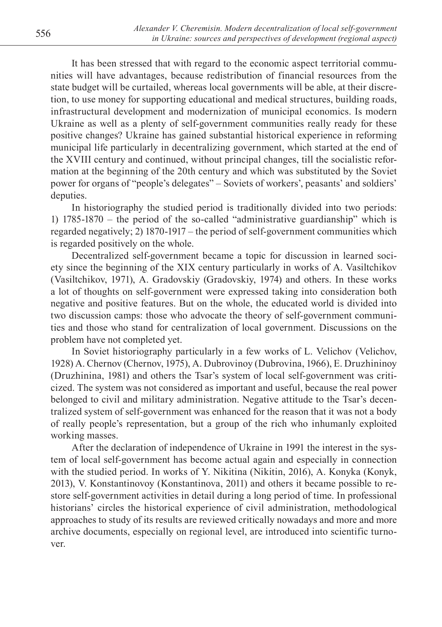It has been stressed that with regard to the economic aspect territorial communities will have advantages, because redistribution of financial resources from the state budget will be curtailed, whereas local governments will be able, at their discretion, to use money for supporting educational and medical structures, building roads, infrastructural development and modernization of municipal economics. Is modern Ukraine as well as a plenty of self-government communities really ready for these positive changes? Ukraine has gained substantial historical experience in reforming municipal life particularly in decentralizing government, which started at the end of the XVIII century and continued, without principal changes, till the socialistic reformation at the beginning of the 20th century and which was substituted by the Soviet power for organs of "people's delegates" – Soviets of workers', peasants' and soldiers' deputies.

In historiography the studied period is traditionally divided into two periods: 1) 1785-1870 – the period of the so-called "administrative guardianship" which is regarded negatively; 2) 1870-1917 – the period of self-government communities which is regarded positively on the whole.

Decentralized self-government became a topic for discussion in learned society since the beginning of the XIX century particularly in works of A. Vasiltchikov (Vasiltchikov, 1971), A. Gradovskiy (Gradovskiy, 1974) and others. In these works a lot of thoughts on self-government were expressed taking into consideration both negative and positive features. But on the whole, the educated world is divided into two discussion camps: those who advocate the theory of self-government communities and those who stand for centralization of local government. Discussions on the problem have not completed yet.

In Soviet historiography particularly in a few works of L. Velichov (Velichov, 1928) A. Chernov (Chernov, 1975), A. Dubrovinoy (Dubrovina, 1966), E. Druzhininoy (Druzhinina, 1981) and others the Tsar's system of local self-government was criticized. The system was not considered as important and useful, because the real power belonged to civil and military administration. Negative attitude to the Tsar's decentralized system of self-government was enhanced for the reason that it was not a body of really people's representation, but a group of the rich who inhumanly exploited working masses.

After the declaration of independence of Ukraine in 1991 the interest in the system of local self-government has become actual again and especially in connection with the studied period. In works of Y. Nikitina (Nikitin, 2016), A. Konyka (Konyk, 2013), V. Konstantinovoy (Konstantinova, 2011) and others it became possible to restore self-government activities in detail during a long period of time. In professional historians' circles the historical experience of civil administration, methodological approaches to study of its results are reviewed critically nowadays and more and more archive documents, especially on regional level, are introduced into scientific turnover.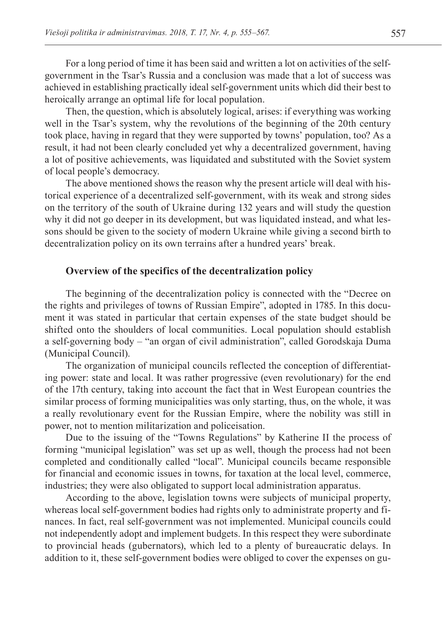For a long period of time it has been said and written a lot on activities of the selfgovernment in the Tsar's Russia and a conclusion was made that a lot of success was achieved in establishing practically ideal self-government units which did their best to heroically arrange an optimal life for local population.

Then, the question, which is absolutely logical, arises: if everything was working well in the Tsar's system, why the revolutions of the beginning of the 20th century took place, having in regard that they were supported by towns' population, too? As a result, it had not been clearly concluded yet why a decentralized government, having a lot of positive achievements, was liquidated and substituted with the Soviet system of local people's democracy.

The above mentioned shows the reason why the present article will deal with historical experience of a decentralized self-government, with its weak and strong sides on the territory of the south of Ukraine during 132 years and will study the question why it did not go deeper in its development, but was liquidated instead, and what lessons should be given to the society of modern Ukraine while giving a second birth to decentralization policy on its own terrains after a hundred years' break.

#### **Overview of the specifics of the decentralization policy**

The beginning of the decentralization policy is connected with the "Decree on the rights and privileges of towns of Russian Empire", adopted in 1785. In this document it was stated in particular that certain expenses of the state budget should be shifted onto the shoulders of local communities. Local population should establish a self-governing body – "an organ of civil administration", called Gorodskaja Duma (Municipal Council).

The organization of municipal councils reflected the conception of differentiating power: state and local. It was rather progressive (even revolutionary) for the end of the 17th century, taking into account the fact that in West European countries the similar process of forming municipalities was only starting, thus, on the whole, it was a really revolutionary event for the Russian Empire, where the nobility was still in power, not to mention militarization and policeisation.

Due to the issuing of the "Towns Regulations" by Katherine II the process of forming "municipal legislation" was set up as well, though the process had not been completed and conditionally called "local". Municipal councils became responsible for financial and economic issues in towns, for taxation at the local level, commerce, industries; they were also obligated to support local administration apparatus.

According to the above, legislation towns were subjects of municipal property, whereas local self-government bodies had rights only to administrate property and finances. In fact, real self-government was not implemented. Municipal councils could not independently adopt and implement budgets. In this respect they were subordinate to provincial heads (gubernators), which led to a plenty of bureaucratic delays. In addition to it, these self-government bodies were obliged to cover the expenses on gu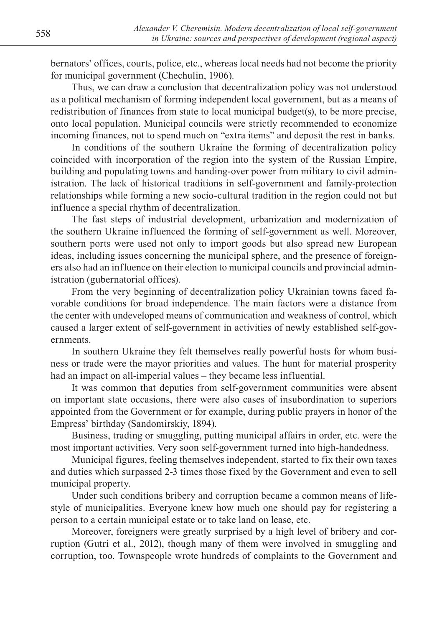bernators' offices, courts, police, etc., whereas local needs had not become the priority for municipal government (Chechulin, 1906).

Thus, we can draw a conclusion that decentralization policy was not understood as a political mechanism of forming independent local government, but as a means of redistribution of finances from state to local municipal budget(s), to be more precise, onto local population. Municipal councils were strictly recommended to economize incoming finances, not to spend much on "extra items" and deposit the rest in banks.

In conditions of the southern Ukraine the forming of decentralization policy coincided with incorporation of the region into the system of the Russian Empire, building and populating towns and handing-over power from military to civil administration. The lack of historical traditions in self-government and family-protection relationships while forming a new socio-cultural tradition in the region could not but influence a special rhythm of decentralization.

The fast steps of industrial development, urbanization and modernization of the southern Ukraine influenced the forming of self-government as well. Moreover, southern ports were used not only to import goods but also spread new European ideas, including issues concerning the municipal sphere, and the presence of foreigners also had an influence on their election to municipal councils and provincial administration (gubernatorial offices).

From the very beginning of decentralization policy Ukrainian towns faced favorable conditions for broad independence. The main factors were a distance from the center with undeveloped means of communication and weakness of control, which caused a larger extent of self-government in activities of newly established self-governments.

In southern Ukraine they felt themselves really powerful hosts for whom business or trade were the mayor priorities and values. The hunt for material prosperity had an impact on all-imperial values – they became less influential.

It was common that deputies from self-government communities were absent on important state occasions, there were also cases of insubordination to superiors appointed from the Government or for example, during public prayers in honor of the Empress' birthday (Sandomirskiy, 1894).

Business, trading or smuggling, putting municipal affairs in order, etc. were the most important activities. Very soon self-government turned into high-handedness.

Municipal figures, feeling themselves independent, started to fix their own taxes and duties which surpassed 2-3 times those fixed by the Government and even to sell municipal property.

Under such conditions bribery and corruption became a common means of lifestyle of municipalities. Everyone knew how much one should pay for registering a person to a certain municipal estate or to take land on lease, etc.

Moreover, foreigners were greatly surprised by a high level of bribery and corruption (Gutri et al., 2012), though many of them were involved in smuggling and corruption, too. Townspeople wrote hundreds of complaints to the Government and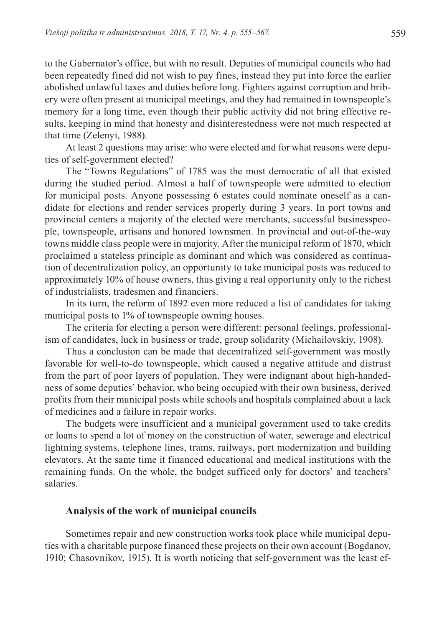to the Gubernator's office, but with no result. Deputies of municipal councils who had been repeatedly fined did not wish to pay fines, instead they put into force the earlier abolished unlawful taxes and duties before long. Fighters against corruption and bribery were often present at municipal meetings, and they had remained in townspeople's memory for a long time, even though their public activity did not bring effective results, keeping in mind that honesty and disinterestedness were not much respected at that time (Zelenyi, 1988).

At least 2 questions may arise: who were elected and for what reasons were deputies of self-government elected?

The "Towns Regulations" of 1785 was the most democratic of all that existed during the studied period. Almost a half of townspeople were admitted to election for municipal posts. Anyone possessing 6 estates could nominate oneself as a candidate for elections and render services properly during 3 years. In port towns and provincial centers a majority of the elected were merchants, successful businesspeople, townspeople, artisans and honored townsmen. In provincial and out-of-the-way towns middle class people were in majority. After the municipal reform of 1870, which proclaimed a stateless principle as dominant and which was considered as continuation of decentralization policy, an opportunity to take municipal posts was reduced to approximately 10% of house owners, thus giving a real opportunity only to the richest of industrialists, tradesmen and financiers.

In its turn, the reform of 1892 even more reduced a list of candidates for taking municipal posts to 1% of townspeople owning houses.

The criteria for electing a person were different: personal feelings, professionalism of candidates, luck in business or trade, group solidarity (Michailovskiy, 1908).

Thus a conclusion can be made that decentralized self-government was mostly favorable for well-to-do townspeople, which caused a negative attitude and distrust from the part of poor layers of population. They were indignant about high-handedness of some deputies' behavior, who being occupied with their own business, derived profits from their municipal posts while schools and hospitals complained about a lack of medicines and a failure in repair works.

The budgets were insufficient and a municipal government used to take credits or loans to spend a lot of money on the construction of water, sewerage and electrical lightning systems, telephone lines, trams, railways, port modernization and building elevators. At the same time it financed educational and medical institutions with the remaining funds. On the whole, the budget sufficed only for doctors' and teachers' salaries.

#### **Analysis of the work of municipal councils**

Sometimes repair and new construction works took place while municipal deputies with a charitable purpose financed these projects on their own account (Bogdanov, 1910; Chasovnikov, 1915). It is worth noticing that self-government was the least ef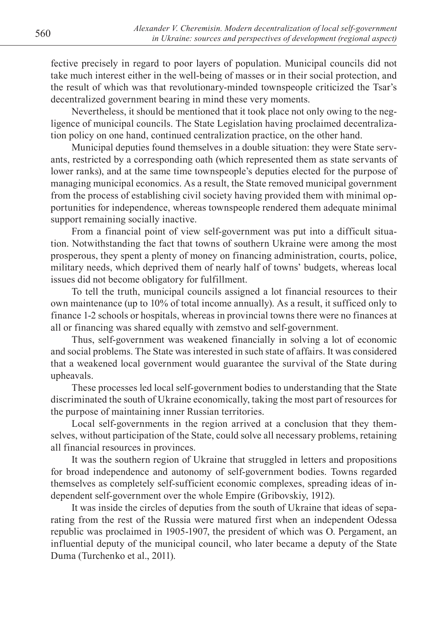fective precisely in regard to poor layers of population. Municipal councils did not take much interest either in the well-being of masses or in their social protection, and the result of which was that revolutionary-minded townspeople criticized the Tsar's decentralized government bearing in mind these very moments.

Nevertheless, it should be mentioned that it took place not only owing to the negligence of municipal councils. The State Legislation having proclaimed decentralization policy on one hand, continued centralization practice, on the other hand.

Municipal deputies found themselves in a double situation: they were State servants, restricted by a corresponding oath (which represented them as state servants of lower ranks), and at the same time townspeople's deputies elected for the purpose of managing municipal economics. As a result, the State removed municipal government from the process of establishing civil society having provided them with minimal opportunities for independence, whereas townspeople rendered them adequate minimal support remaining socially inactive.

From a financial point of view self-government was put into a difficult situation. Notwithstanding the fact that towns of southern Ukraine were among the most prosperous, they spent a plenty of money on financing administration, courts, police, military needs, which deprived them of nearly half of towns' budgets, whereas local issues did not become obligatory for fulfillment.

To tell the truth, municipal councils assigned a lot financial resources to their own maintenance (up to 10% of total income annually). As a result, it sufficed only to finance 1-2 schools or hospitals, whereas in provincial towns there were no finances at all or financing was shared equally with zemstvo and self-government.

Thus, self-government was weakened financially in solving a lot of economic and social problems. The State was interested in such state of affairs. It was considered that a weakened local government would guarantee the survival of the State during upheavals.

These processes led local self-government bodies to understanding that the State discriminated the south of Ukraine economically, taking the most part of resources for the purpose of maintaining inner Russian territories.

Local self-governments in the region arrived at a conclusion that they themselves, without participation of the State, could solve all necessary problems, retaining all financial resources in provinces.

It was the southern region of Ukraine that struggled in letters and propositions for broad independence and autonomy of self-government bodies. Towns regarded themselves as completely self-sufficient economic complexes, spreading ideas of independent self-government over the whole Empire (Gribovskiy, 1912).

It was inside the circles of deputies from the south of Ukraine that ideas of separating from the rest of the Russia were matured first when an independent Odessa republic was proclaimed in 1905-1907, the president of which was O. Pergament, an influential deputy of the municipal council, who later became a deputy of the State Duma (Turchenko et al., 2011).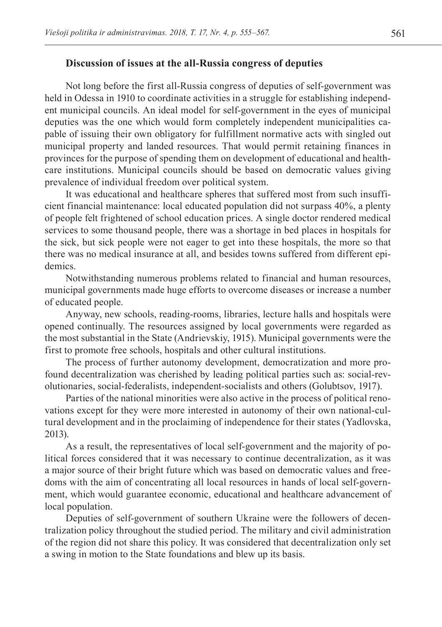#### **Discussion of issues at the all-Russia congress of deputies**

Not long before the first all-Russia congress of deputies of self-government was held in Odessa in 1910 to coordinate activities in a struggle for establishing independent municipal councils. An ideal model for self-government in the eyes of municipal deputies was the one which would form completely independent municipalities capable of issuing their own obligatory for fulfillment normative acts with singled out municipal property and landed resources. That would permit retaining finances in provinces for the purpose of spending them on development of educational and healthcare institutions. Municipal councils should be based on democratic values giving prevalence of individual freedom over political system.

It was educational and healthcare spheres that suffered most from such insufficient financial maintenance: local educated population did not surpass 40%, a plenty of people felt frightened of school education prices. A single doctor rendered medical services to some thousand people, there was a shortage in bed places in hospitals for the sick, but sick people were not eager to get into these hospitals, the more so that there was no medical insurance at all, and besides towns suffered from different epidemics.

Notwithstanding numerous problems related to financial and human resources, municipal governments made huge efforts to overcome diseases or increase a number of educated people.

Anyway, new schools, reading-rooms, libraries, lecture halls and hospitals were opened continually. The resources assigned by local governments were regarded as the most substantial in the State (Andrievskiy, 1915). Municipal governments were the first to promote free schools, hospitals and other cultural institutions.

The process of further autonomy development, democratization and more profound decentralization was cherished by leading political parties such as: social-revolutionaries, social-federalists, independent-socialists and others (Golubtsov, 1917).

Parties of the national minorities were also active in the process of political renovations except for they were more interested in autonomy of their own national-cultural development and in the proclaiming of independence for their states (Yadlovska, 2013).

As a result, the representatives of local self-government and the majority of political forces considered that it was necessary to continue decentralization, as it was a major source of their bright future which was based on democratic values and freedoms with the aim of concentrating all local resources in hands of local self-government, which would guarantee economic, educational and healthcare advancement of local population.

Deputies of self-government of southern Ukraine were the followers of decentralization policy throughout the studied period. The military and civil administration of the region did not share this policy. It was considered that decentralization only set a swing in motion to the State foundations and blew up its basis.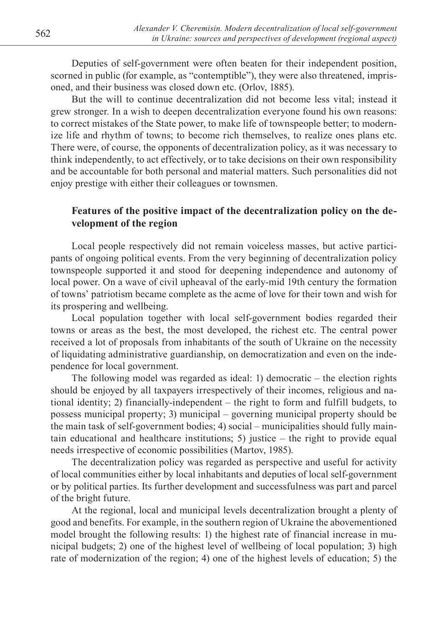Deputies of self-government were often beaten for their independent position, scorned in public (for example, as "contemptible"), they were also threatened, imprisoned, and their business was closed down etc. (Orlov, 1885).

But the will to continue decentralization did not become less vital; instead it grew stronger. In a wish to deepen decentralization everyone found his own reasons: to correct mistakes of the State power, to make life of townspeople better; to modernize life and rhythm of towns; to become rich themselves, to realize ones plans etc. There were, of course, the opponents of decentralization policy, as it was necessary to think independently, to act effectively, or to take decisions on their own responsibility and be accountable for both personal and material matters. Such personalities did not enjoy prestige with either their colleagues or townsmen.

### **Features of the positive impact of the decentralization policy on the development of the region**

Local people respectively did not remain voiceless masses, but active participants of ongoing political events. From the very beginning of decentralization policy townspeople supported it and stood for deepening independence and autonomy of local power. On a wave of civil upheaval of the early-mid 19th century the formation of towns' patriotism became complete as the acme of love for their town and wish for its prospering and wellbeing.

Local population together with local self-government bodies regarded their towns or areas as the best, the most developed, the richest etc. The central power received a lot of proposals from inhabitants of the south of Ukraine on the necessity of liquidating administrative guardianship, on democratization and even on the independence for local government.

The following model was regarded as ideal: 1) democratic – the election rights should be enjoyed by all taxpayers irrespectively of their incomes, religious and national identity; 2) financially-independent – the right to form and fulfill budgets, to possess municipal property; 3) municipal – governing municipal property should be the main task of self-government bodies; 4) social – municipalities should fully maintain educational and healthcare institutions; 5) justice – the right to provide equal needs irrespective of economic possibilities (Martov, 1985).

The decentralization policy was regarded as perspective and useful for activity of local communities either by local inhabitants and deputies of local self-government or by political parties. Its further development and successfulness was part and parcel of the bright future.

At the regional, local and municipal levels decentralization brought a plenty of good and benefits. For example, in the southern region of Ukraine the abovementioned model brought the following results: 1) the highest rate of financial increase in municipal budgets; 2) one of the highest level of wellbeing of local population; 3) high rate of modernization of the region; 4) one of the highest levels of education; 5) the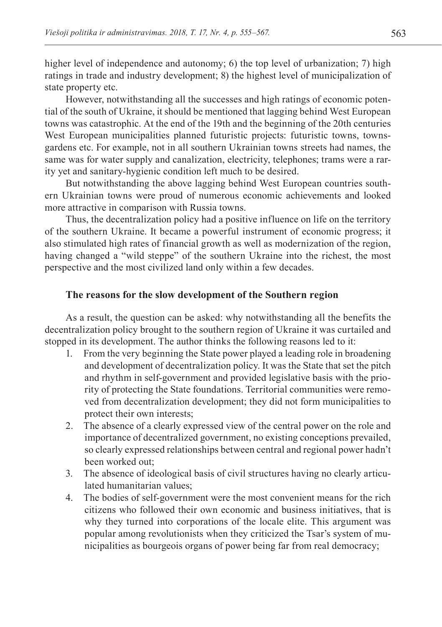higher level of independence and autonomy; 6) the top level of urbanization; 7) high ratings in trade and industry development; 8) the highest level of municipalization of state property etc.

However, notwithstanding all the successes and high ratings of economic potential of the south of Ukraine, it should be mentioned that lagging behind West European towns was catastrophic. At the end of the 19th and the beginning of the 20th centuries West European municipalities planned futuristic projects: futuristic towns, townsgardens etc. For example, not in all southern Ukrainian towns streets had names, the same was for water supply and canalization, electricity, telephones; trams were a rarity yet and sanitary-hygienic condition left much to be desired.

But notwithstanding the above lagging behind West European countries southern Ukrainian towns were proud of numerous economic achievements and looked more attractive in comparison with Russia towns.

Thus, the decentralization policy had a positive influence on life on the territory of the southern Ukraine. It became a powerful instrument of economic progress; it also stimulated high rates of financial growth as well as modernization of the region, having changed a "wild steppe" of the southern Ukraine into the richest, the most perspective and the most civilized land only within a few decades.

#### **The reasons for the slow development of the Southern region**

As a result, the question can be asked: why notwithstanding all the benefits the decentralization policy brought to the southern region of Ukraine it was curtailed and stopped in its development. The author thinks the following reasons led to it:

- 1. From the very beginning the State power played a leading role in broadening and development of decentralization policy. It was the State that set the pitch and rhythm in self-government and provided legislative basis with the priority of protecting the State foundations. Territorial communities were removed from decentralization development; they did not form municipalities to protect their own interests;
- 2. The absence of a clearly expressed view of the central power on the role and importance of decentralized government, no existing conceptions prevailed, so clearly expressed relationships between central and regional power hadn't been worked out;
- 3. The absence of ideological basis of civil structures having no clearly articulated humanitarian values;
- 4. The bodies of self-government were the most convenient means for the rich citizens who followed their own economic and business initiatives, that is why they turned into corporations of the locale elite. This argument was popular among revolutionists when they criticized the Tsar's system of municipalities as bourgeois organs of power being far from real democracy;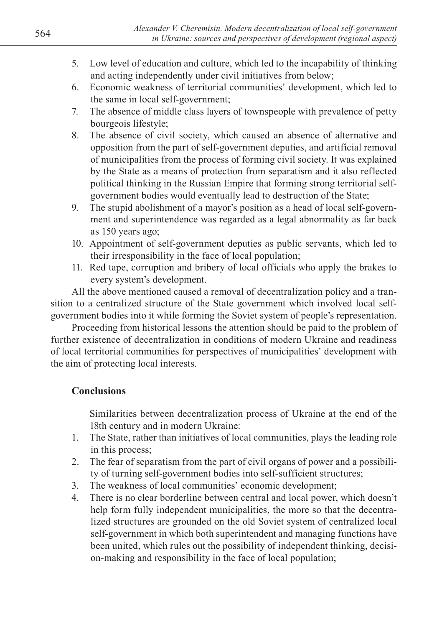- 6. Economic weakness of territorial communities' development, which led to the same in local self-government;
- 7. The absence of middle class layers of townspeople with prevalence of petty bourgeois lifestyle;
- 8. The absence of civil society, which caused an absence of alternative and opposition from the part of self-government deputies, and artificial removal of municipalities from the process of forming civil society. It was explained by the State as a means of protection from separatism and it also reflected political thinking in the Russian Empire that forming strong territorial selfgovernment bodies would eventually lead to destruction of the State;
- 9. The stupid abolishment of a mayor's position as a head of local self-government and superintendence was regarded as a legal abnormality as far back as 150 years ago;
- 10. Appointment of self-government deputies as public servants, which led to their irresponsibility in the face of local population;
- 11. Red tape, corruption and bribery of local officials who apply the brakes to every system's development.

All the above mentioned caused a removal of decentralization policy and a transition to a centralized structure of the State government which involved local selfgovernment bodies into it while forming the Soviet system of people's representation.

Proceeding from historical lessons the attention should be paid to the problem of further existence of decentralization in conditions of modern Ukraine and readiness of local territorial communities for perspectives of municipalities' development with the aim of protecting local interests.

# **Conclusions**

Similarities between decentralization process of Ukraine at the end of the 18th century and in modern Ukraine:

- 1. The State, rather than initiatives of local communities, plays the leading role in this process;
- 2. The fear of separatism from the part of civil organs of power and a possibility of turning self-government bodies into self-sufficient structures;
- 3. The weakness of local communities' economic development;
- 4. There is no clear borderline between central and local power, which doesn't help form fully independent municipalities, the more so that the decentralized structures are grounded on the old Soviet system of centralized local self-government in which both superintendent and managing functions have been united, which rules out the possibility of independent thinking, decision-making and responsibility in the face of local population;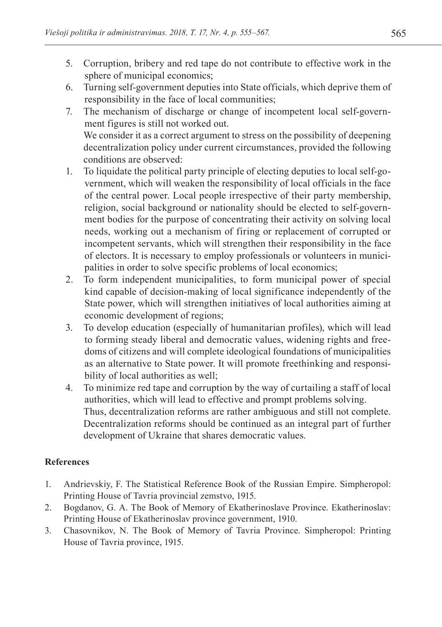- 5. Corruption, bribery and red tape do not contribute to effective work in the sphere of municipal economics;
- 6. Turning self-government deputies into State officials, which deprive them of responsibility in the face of local communities;
- 7. The mechanism of discharge or change of incompetent local self-government figures is still not worked out. We consider it as a correct argument to stress on the possibility of deepening decentralization policy under current circumstances, provided the following conditions are observed:
- 1. To liquidate the political party principle of electing deputies to local self-government, which will weaken the responsibility of local officials in the face of the central power. Local people irrespective of their party membership, religion, social background or nationality should be elected to self-government bodies for the purpose of concentrating their activity on solving local needs, working out a mechanism of firing or replacement of corrupted or incompetent servants, which will strengthen their responsibility in the face of electors. It is necessary to employ professionals or volunteers in municipalities in order to solve specific problems of local economics;
- 2. To form independent municipalities, to form municipal power of special kind capable of decision-making of local significance independently of the State power, which will strengthen initiatives of local authorities aiming at economic development of regions;
- 3. To develop education (especially of humanitarian profiles), which will lead to forming steady liberal and democratic values, widening rights and freedoms of citizens and will complete ideological foundations of municipalities as an alternative to State power. It will promote freethinking and responsibility of local authorities as well;
- 4. To minimize red tape and corruption by the way of curtailing a staff of local authorities, which will lead to effective and prompt problems solving. Thus, decentralization reforms are rather ambiguous and still not complete. Decentralization reforms should be continued as an integral part of further development of Ukraine that shares democratic values.

# **References**

- 1. Andrievskiy, F. The Statistical Reference Book of the Russian Empire. Simpheropol: Printing House of Tavria provincial zemstvo, 1915.
- 2. Bogdanov, G. A. The Book of Memory of Ekatherinoslave Province. Ekatherinoslav: Printing House of Ekatherinoslav province government, 1910.
- 3. Chasovnikov, N. The Book of Memory of Tavria Province. Simpheropol: Printing House of Tavria province, 1915.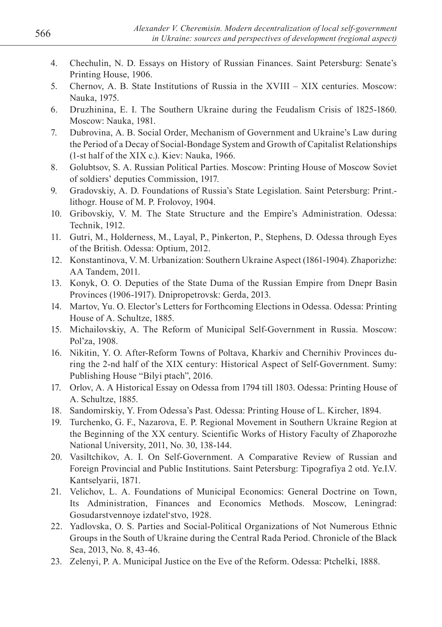- 4. Chechulin, N. D. Essays on History of Russian Finances. Saint Petersburg: Senate's Printing House, 1906.
- 5. Chernov, A. B. State Institutions of Russia in the XVIII XIX centuries. Moscow: Nauka, 1975.
- 6. Druzhinina, E. I. The Southern Ukraine during the Feudalism Crisis of 1825-1860. Moscow: Nauka, 1981.
- 7. Dubrovina, A. B. Social Order, Mechanism of Government and Ukraine's Law during the Period of a Decay of Social-Bondage System and Growth of Capitalist Relationships (1-st half of the XIX c.). Kiev: Nauka, 1966.
- 8. Golubtsov, S. A. Russian Political Parties. Moscow: Printing House of Moscow Soviet of soldiers' deputies Commission, 1917.
- 9. Gradovskiy, A. D. Foundations of Russia's State Legislation. Saint Petersburg: Print. lithogr. House of M. P. Frolovoy, 1904.
- 10. Gribovskiy, V. M. The State Structure and the Empire's Administration. Odessa: Technik, 1912.
- 11. Gutri, M., Holderness, M., Layal, P., Pinkerton, P., Stephens, D. Odessa through Eyes of the British. Odessa: Optium, 2012.
- 12. Konstantinova, V. M. Urbanization: Southern Ukraine Aspect (1861-1904). Zhaporizhe: AA Tandem, 2011.
- 13. Konyk, O. O. Deputies of the State Duma of the Russian Empire from Dnepr Basin Provinces (1906-1917). Dnipropetrovsk: Gerda, 2013.
- 14. Martov, Yu. O. Elector's Letters for Forthcoming Elections in Odessa. Odessa: Printing House of A. Schultze, 1885.
- 15. Michailovskiy, A. The Reform of Municipal Self-Government in Russia. Moscow: Pol'za, 1908.
- 16. Nikitin, Y. O. After-Reform Towns of Poltava, Kharkiv and Chernihiv Provinces during the 2-nd half of the XIX century: Historical Aspect of Self-Government. Sumy: Publishing House "Bilyi ptach", 2016.
- 17. Orlov, A. A Historical Essay on Odessa from 1794 till 1803. Odessa: Printing House of A. Schultze, 1885.
- 18. Sandomirskiy, Y. From Odessa's Past. Odessa: Printing House of L. Kircher, 1894.
- 19. Turchenko, G. F., Nazarova, E. P. Regional Movement in Southern Ukraine Region at the Beginning of the XX century. Scientific Works of History Faculty of Zhaporozhe National University, 2011, No. 30, 138-144.
- 20. Vasiltchikov, A. I. On Self-Government. A Comparative Review of Russian and Foreign Provincial and Public Institutions. Saint Petersburg: Tipografiya 2 otd. Ye.I.V. Kantselyarii, 1871.
- 21. Velichov, L. A. Foundations of Municipal Economics: General Doctrine on Town, Its Administration, Finances and Economics Methods. Moscow, Leningrad: Gosudarstvennoye izdatel'stvo, 1928.
- 22. Yadlovska, O. S. Parties and Social-Political Organizations of Not Numerous Ethnic Groups in the South of Ukraine during the Central Rada Period. Chronicle of the Black Sea, 2013, No. 8, 43-46.
- 23. Zelenyi, P. A. Municipal Justice on the Eve of the Reform. Odessa: Ptchelki, 1888.